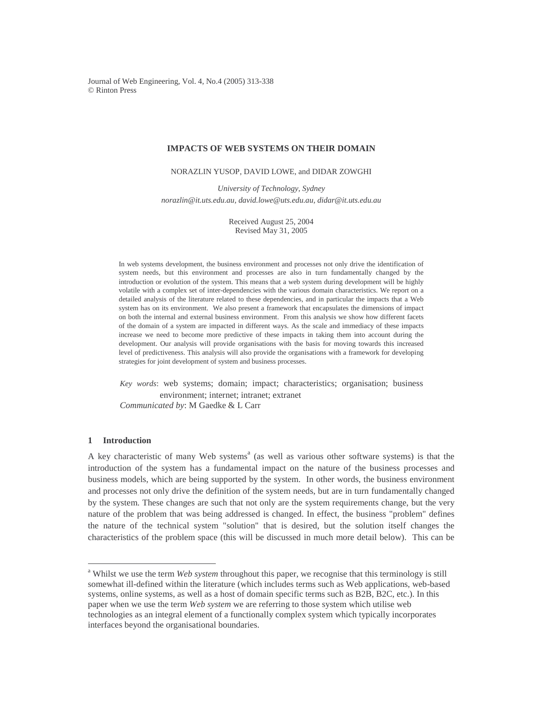Journal of Web Engineering, Vol. 4, No.4 (2005) 313-338 © Rinton Press

# **IMPACTS OF WEB SYSTEMS ON THEIR DOMAIN**

NORAZLIN YUSOP, DAVID LOWE, and DIDAR ZOWGHI

*University of Technology, Sydney norazlin@it.uts.edu.au, david.lowe@uts.edu.au, didar@it.uts.edu.au* 

> Received August 25, 2004 Revised May 31, 2005

In web systems development, the business environment and processes not only drive the identification of system needs, but this environment and processes are also in turn fundamentally changed by the introduction or evolution of the system. This means that a web system during development will be highly volatile with a complex set of inter-dependencies with the various domain characteristics. We report on a detailed analysis of the literature related to these dependencies, and in particular the impacts that a Web system has on its environment. We also present a framework that encapsulates the dimensions of impact on both the internal and external business environment. From this analysis we show how different facets of the domain of a system are impacted in different ways. As the scale and immediacy of these impacts increase we need to become more predictive of these impacts in taking them into account during the development. Our analysis will provide organisations with the basis for moving towards this increased level of predictiveness. This analysis will also provide the organisations with a framework for developing strategies for joint development of system and business processes.

*Key words*: web systems; domain; impact; characteristics; organisation; business environment; internet; intranet; extranet *Communicated by*: M Gaedke & L Carr

# **1 Introduction**

 $\overline{a}$ 

A key characteristic of many Web systems<sup>a</sup> (as well as various other software systems) is that the introduction of the system has a fundamental impact on the nature of the business processes and business models, which are being supported by the system. In other words, the business environment and processes not only drive the definition of the system needs, but are in turn fundamentally changed by the system. These changes are such that not only are the system requirements change, but the very nature of the problem that was being addressed is changed. In effect, the business "problem" defines the nature of the technical system "solution" that is desired, but the solution itself changes the characteristics of the problem space (this will be discussed in much more detail below). This can be

<sup>&</sup>lt;sup>a</sup> Whilst we use the term *Web system* throughout this paper, we recognise that this terminology is still somewhat ill-defined within the literature (which includes terms such as Web applications, web-based systems, online systems, as well as a host of domain specific terms such as B2B, B2C, etc.). In this paper when we use the term *Web system* we are referring to those system which utilise web technologies as an integral element of a functionally complex system which typically incorporates interfaces beyond the organisational boundaries.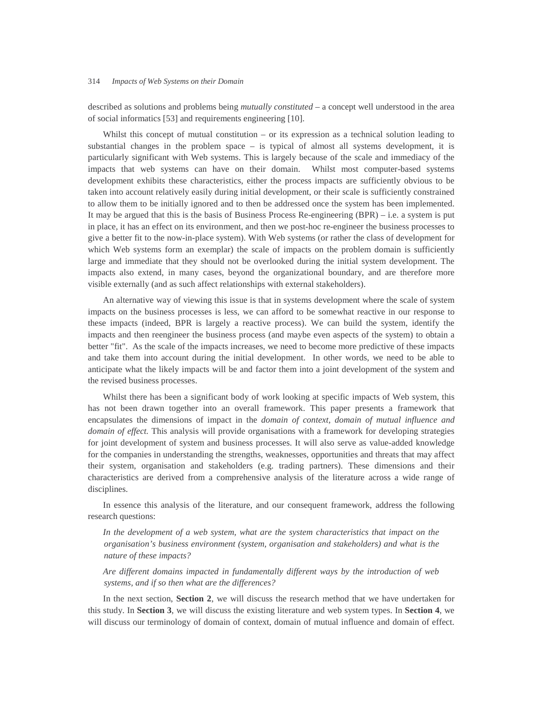described as solutions and problems being *mutually constituted* – a concept well understood in the area of social informatics [53] and requirements engineering [10].

Whilst this concept of mutual constitution – or its expression as a technical solution leading to substantial changes in the problem space – is typical of almost all systems development, it is particularly significant with Web systems. This is largely because of the scale and immediacy of the impacts that web systems can have on their domain. Whilst most computer-based systems development exhibits these characteristics, either the process impacts are sufficiently obvious to be taken into account relatively easily during initial development, or their scale is sufficiently constrained to allow them to be initially ignored and to then be addressed once the system has been implemented. It may be argued that this is the basis of Business Process Re-engineering  $(BPR) - i.e.$  a system is put in place, it has an effect on its environment, and then we post-hoc re-engineer the business processes to give a better fit to the now-in-place system). With Web systems (or rather the class of development for which Web systems form an exemplar) the scale of impacts on the problem domain is sufficiently large and immediate that they should not be overlooked during the initial system development. The impacts also extend, in many cases, beyond the organizational boundary, and are therefore more visible externally (and as such affect relationships with external stakeholders).

An alternative way of viewing this issue is that in systems development where the scale of system impacts on the business processes is less, we can afford to be somewhat reactive in our response to these impacts (indeed, BPR is largely a reactive process). We can build the system, identify the impacts and then reengineer the business process (and maybe even aspects of the system) to obtain a better "fit". As the scale of the impacts increases, we need to become more predictive of these impacts and take them into account during the initial development. In other words, we need to be able to anticipate what the likely impacts will be and factor them into a joint development of the system and the revised business processes.

Whilst there has been a significant body of work looking at specific impacts of Web system, this has not been drawn together into an overall framework. This paper presents a framework that encapsulates the dimensions of impact in the *domain of context, domain of mutual influence and domain of effect.* This analysis will provide organisations with a framework for developing strategies for joint development of system and business processes. It will also serve as value-added knowledge for the companies in understanding the strengths, weaknesses, opportunities and threats that may affect their system, organisation and stakeholders (e.g. trading partners). These dimensions and their characteristics are derived from a comprehensive analysis of the literature across a wide range of disciplines.

In essence this analysis of the literature, and our consequent framework, address the following research questions:

In the development of a web system, what are the system characteristics that impact on the *organisation's business environment (system, organisation and stakeholders) and what is the nature of these impacts?* 

*Are different domains impacted in fundamentally different ways by the introduction of web systems, and if so then what are the differences?* 

In the next section, **Section 2**, we will discuss the research method that we have undertaken for this study. In **Section 3**, we will discuss the existing literature and web system types. In **Section 4**, we will discuss our terminology of domain of context, domain of mutual influence and domain of effect.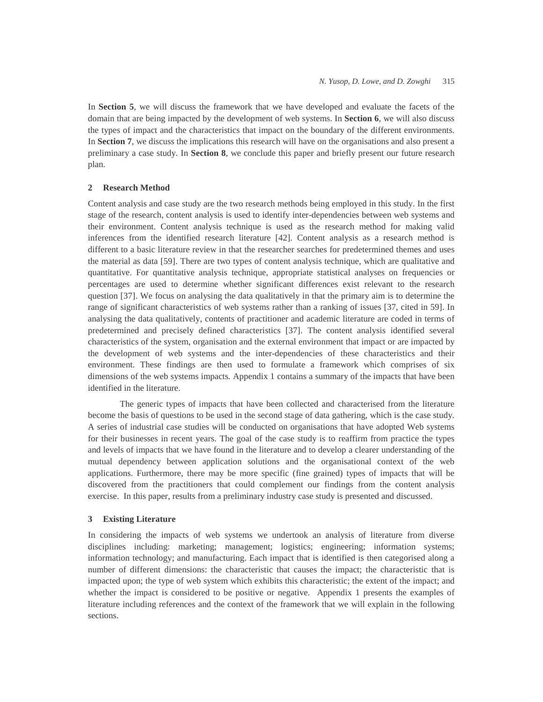In **Section 5**, we will discuss the framework that we have developed and evaluate the facets of the domain that are being impacted by the development of web systems. In **Section 6**, we will also discuss the types of impact and the characteristics that impact on the boundary of the different environments. In **Section 7**, we discuss the implications this research will have on the organisations and also present a preliminary a case study. In **Section 8**, we conclude this paper and briefly present our future research plan.

## **2 Research Method**

Content analysis and case study are the two research methods being employed in this study. In the first stage of the research, content analysis is used to identify inter-dependencies between web systems and their environment. Content analysis technique is used as the research method for making valid inferences from the identified research literature [42]. Content analysis as a research method is different to a basic literature review in that the researcher searches for predetermined themes and uses the material as data [59]. There are two types of content analysis technique, which are qualitative and quantitative. For quantitative analysis technique, appropriate statistical analyses on frequencies or percentages are used to determine whether significant differences exist relevant to the research question [37]. We focus on analysing the data qualitatively in that the primary aim is to determine the range of significant characteristics of web systems rather than a ranking of issues [37, cited in 59]. In analysing the data qualitatively, contents of practitioner and academic literature are coded in terms of predetermined and precisely defined characteristics [37]. The content analysis identified several characteristics of the system, organisation and the external environment that impact or are impacted by the development of web systems and the inter-dependencies of these characteristics and their environment. These findings are then used to formulate a framework which comprises of six dimensions of the web systems impacts*.* Appendix 1 contains a summary of the impacts that have been identified in the literature.

 The generic types of impacts that have been collected and characterised from the literature become the basis of questions to be used in the second stage of data gathering, which is the case study. A series of industrial case studies will be conducted on organisations that have adopted Web systems for their businesses in recent years. The goal of the case study is to reaffirm from practice the types and levels of impacts that we have found in the literature and to develop a clearer understanding of the mutual dependency between application solutions and the organisational context of the web applications. Furthermore, there may be more specific (fine grained) types of impacts that will be discovered from the practitioners that could complement our findings from the content analysis exercise. In this paper, results from a preliminary industry case study is presented and discussed.

## **3 Existing Literature**

In considering the impacts of web systems we undertook an analysis of literature from diverse disciplines including: marketing; management; logistics; engineering; information systems; information technology; and manufacturing. Each impact that is identified is then categorised along a number of different dimensions: the characteristic that causes the impact; the characteristic that is impacted upon; the type of web system which exhibits this characteristic; the extent of the impact; and whether the impact is considered to be positive or negative. Appendix 1 presents the examples of literature including references and the context of the framework that we will explain in the following sections.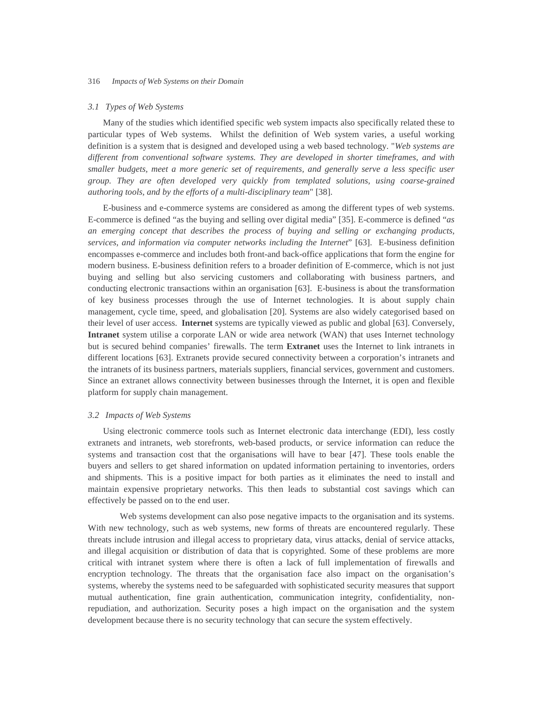### *3.1 Types of Web Systems*

Many of the studies which identified specific web system impacts also specifically related these to particular types of Web systems. Whilst the definition of Web system varies, a useful working definition is a system that is designed and developed using a web based technology. "*Web systems are different from conventional software systems. They are developed in shorter timeframes, and with smaller budgets, meet a more generic set of requirements, and generally serve a less specific user group. They are often developed very quickly from templated solutions, using coarse-grained authoring tools, and by the efforts of a multi-disciplinary team*" [38].

E-business and e-commerce systems are considered as among the different types of web systems. E-commerce is defined "as the buying and selling over digital media" [35]. E-commerce is defined "*as an emerging concept that describes the process of buying and selling or exchanging products, services, and information via computer networks including the Internet*" [63]. E-business definition encompasses e-commerce and includes both front-and back-office applications that form the engine for modern business. E-business definition refers to a broader definition of E-commerce, which is not just buying and selling but also servicing customers and collaborating with business partners, and conducting electronic transactions within an organisation [63]. E-business is about the transformation of key business processes through the use of Internet technologies. It is about supply chain management, cycle time, speed, and globalisation [20]. Systems are also widely categorised based on their level of user access. **Internet** systems are typically viewed as public and global [63]. Conversely, **Intranet** system utilise a corporate LAN or wide area network (WAN) that uses Internet technology but is secured behind companies' firewalls. The term **Extranet** uses the Internet to link intranets in different locations [63]. Extranets provide secured connectivity between a corporation's intranets and the intranets of its business partners, materials suppliers, financial services, government and customers. Since an extranet allows connectivity between businesses through the Internet, it is open and flexible platform for supply chain management.

### *3.2 Impacts of Web Systems*

Using electronic commerce tools such as Internet electronic data interchange (EDI), less costly extranets and intranets, web storefronts, web-based products, or service information can reduce the systems and transaction cost that the organisations will have to bear [47]. These tools enable the buyers and sellers to get shared information on updated information pertaining to inventories, orders and shipments. This is a positive impact for both parties as it eliminates the need to install and maintain expensive proprietary networks. This then leads to substantial cost savings which can effectively be passed on to the end user.

Web systems development can also pose negative impacts to the organisation and its systems. With new technology, such as web systems, new forms of threats are encountered regularly. These threats include intrusion and illegal access to proprietary data, virus attacks, denial of service attacks, and illegal acquisition or distribution of data that is copyrighted. Some of these problems are more critical with intranet system where there is often a lack of full implementation of firewalls and encryption technology. The threats that the organisation face also impact on the organisation's systems, whereby the systems need to be safeguarded with sophisticated security measures that support mutual authentication, fine grain authentication, communication integrity, confidentiality, nonrepudiation, and authorization. Security poses a high impact on the organisation and the system development because there is no security technology that can secure the system effectively.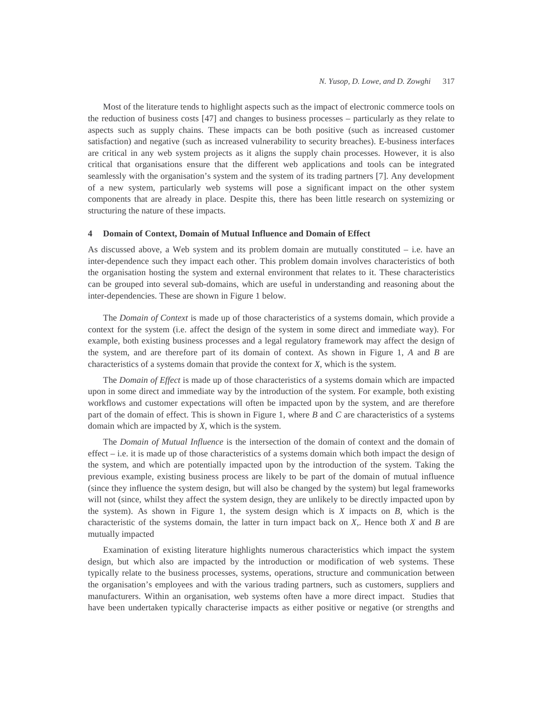Most of the literature tends to highlight aspects such as the impact of electronic commerce tools on the reduction of business costs [47] and changes to business processes – particularly as they relate to aspects such as supply chains. These impacts can be both positive (such as increased customer satisfaction) and negative (such as increased vulnerability to security breaches). E-business interfaces are critical in any web system projects as it aligns the supply chain processes. However, it is also critical that organisations ensure that the different web applications and tools can be integrated seamlessly with the organisation's system and the system of its trading partners [7]. Any development of a new system, particularly web systems will pose a significant impact on the other system components that are already in place. Despite this, there has been little research on systemizing or structuring the nature of these impacts.

### **4 Domain of Context, Domain of Mutual Influence and Domain of Effect**

As discussed above, a Web system and its problem domain are mutually constituted  $-$  i.e. have an inter-dependence such they impact each other. This problem domain involves characteristics of both the organisation hosting the system and external environment that relates to it. These characteristics can be grouped into several sub-domains, which are useful in understanding and reasoning about the inter-dependencies. These are shown in Figure 1 below.

The *Domain of Context* is made up of those characteristics of a systems domain, which provide a context for the system (i.e. affect the design of the system in some direct and immediate way). For example, both existing business processes and a legal regulatory framework may affect the design of the system, and are therefore part of its domain of context. As shown in Figure 1, *A* and *B* are characteristics of a systems domain that provide the context for *X*, which is the system.

The *Domain of Effect* is made up of those characteristics of a systems domain which are impacted upon in some direct and immediate way by the introduction of the system. For example, both existing workflows and customer expectations will often be impacted upon by the system, and are therefore part of the domain of effect. This is shown in Figure 1, where *B* and *C* are characteristics of a systems domain which are impacted by *X*, which is the system.

The *Domain of Mutual Influence* is the intersection of the domain of context and the domain of effect – i.e. it is made up of those characteristics of a systems domain which both impact the design of the system, and which are potentially impacted upon by the introduction of the system. Taking the previous example, existing business process are likely to be part of the domain of mutual influence (since they influence the system design, but will also be changed by the system) but legal frameworks will not (since, whilst they affect the system design, they are unlikely to be directly impacted upon by the system). As shown in Figure 1, the system design which is *X* impacts on *B*, which is the characteristic of the systems domain, the latter in turn impact back on *X*,. Hence both *X* and *B* are mutually impacted

Examination of existing literature highlights numerous characteristics which impact the system design, but which also are impacted by the introduction or modification of web systems. These typically relate to the business processes, systems, operations, structure and communication between the organisation's employees and with the various trading partners, such as customers, suppliers and manufacturers. Within an organisation, web systems often have a more direct impact. Studies that have been undertaken typically characterise impacts as either positive or negative (or strengths and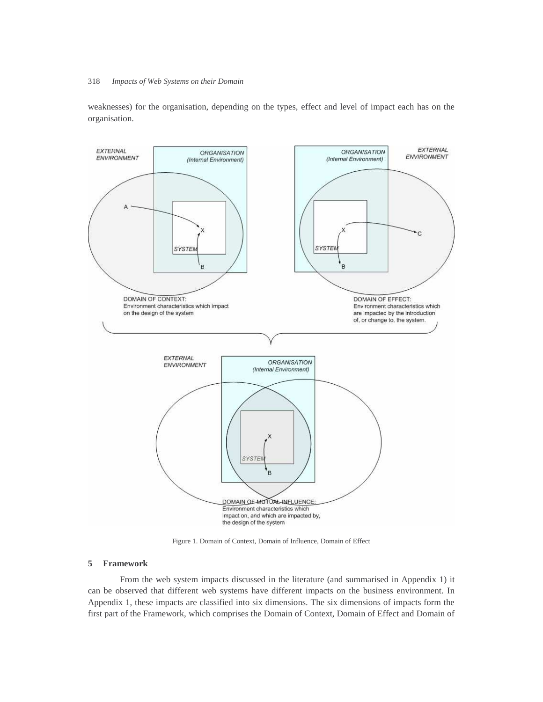weaknesses) for the organisation, depending on the types, effect and level of impact each has on the organisation.



Figure 1. Domain of Context, Domain of Influence, Domain of Effect

# **5 Framework**

 From the web system impacts discussed in the literature (and summarised in Appendix 1) it can be observed that different web systems have different impacts on the business environment. In Appendix 1, these impacts are classified into six dimensions. The six dimensions of impacts form the first part of the Framework, which comprises the Domain of Context, Domain of Effect and Domain of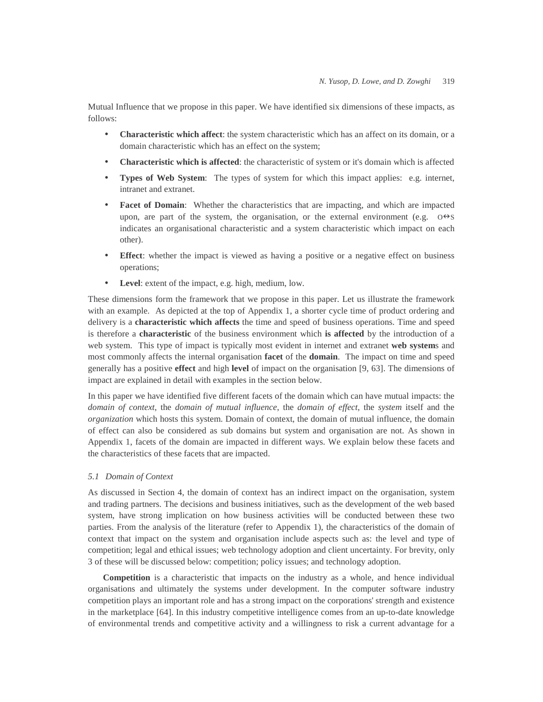Mutual Influence that we propose in this paper. We have identified six dimensions of these impacts, as follows:

- **Characteristic which affect**: the system characteristic which has an affect on its domain, or a domain characteristic which has an effect on the system;
- **Characteristic which is affected**: the characteristic of system or it's domain which is affected
- **Types of Web System**: The types of system for which this impact applies: e.g. internet, intranet and extranet.
- **Facet of Domain:** Whether the characteristics that are impacting, and which are impacted upon, are part of the system, the organisation, or the external environment (e.g.  $0 \rightarrow S$ indicates an organisational characteristic and a system characteristic which impact on each other).
- **Effect**: whether the impact is viewed as having a positive or a negative effect on business operations;
- **Level**: extent of the impact, e.g. high, medium, low.

These dimensions form the framework that we propose in this paper. Let us illustrate the framework with an example. As depicted at the top of Appendix 1, a shorter cycle time of product ordering and delivery is a **characteristic which affects** the time and speed of business operations. Time and speed is therefore a **characteristic** of the business environment which **is affected** by the introduction of a web system. This type of impact is typically most evident in internet and extranet **web system**s and most commonly affects the internal organisation **facet** of the **domain**. The impact on time and speed generally has a positive **effect** and high **level** of impact on the organisation [9, 63]. The dimensions of impact are explained in detail with examples in the section below.

In this paper we have identified five different facets of the domain which can have mutual impacts: the *domain of context*, the *domain of mutual influence*, the *domain of effect*, the *system* itself and the *organization* which hosts this system. Domain of context, the domain of mutual influence, the domain of effect can also be considered as sub domains but system and organisation are not. As shown in Appendix 1, facets of the domain are impacted in different ways. We explain below these facets and the characteristics of these facets that are impacted.

## *5.1 Domain of Context*

As discussed in Section 4, the domain of context has an indirect impact on the organisation, system and trading partners. The decisions and business initiatives, such as the development of the web based system, have strong implication on how business activities will be conducted between these two parties. From the analysis of the literature (refer to Appendix 1), the characteristics of the domain of context that impact on the system and organisation include aspects such as: the level and type of competition; legal and ethical issues; web technology adoption and client uncertainty. For brevity, only 3 of these will be discussed below: competition; policy issues; and technology adoption.

**Competition** is a characteristic that impacts on the industry as a whole, and hence individual organisations and ultimately the systems under development. In the computer software industry competition plays an important role and has a strong impact on the corporations' strength and existence in the marketplace [64]. In this industry competitive intelligence comes from an up-to-date knowledge of environmental trends and competitive activity and a willingness to risk a current advantage for a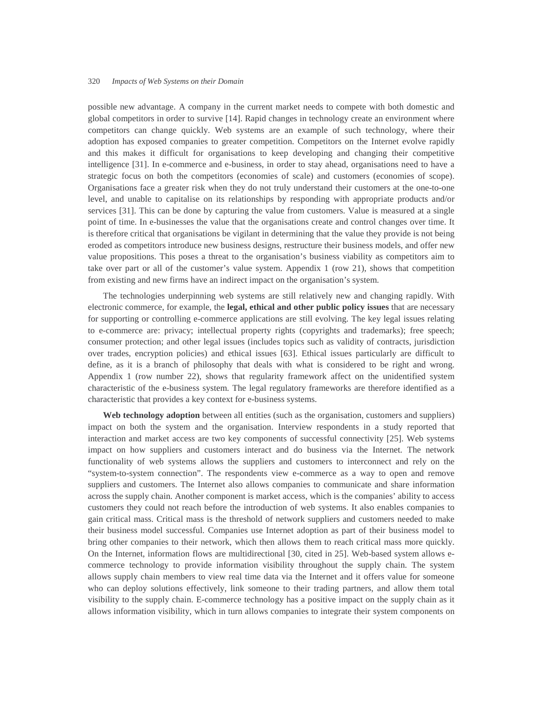possible new advantage. A company in the current market needs to compete with both domestic and global competitors in order to survive [14]. Rapid changes in technology create an environment where competitors can change quickly. Web systems are an example of such technology, where their adoption has exposed companies to greater competition. Competitors on the Internet evolve rapidly and this makes it difficult for organisations to keep developing and changing their competitive intelligence [31]. In e-commerce and e-business, in order to stay ahead, organisations need to have a strategic focus on both the competitors (economies of scale) and customers (economies of scope). Organisations face a greater risk when they do not truly understand their customers at the one-to-one level, and unable to capitalise on its relationships by responding with appropriate products and/or services [31]. This can be done by capturing the value from customers. Value is measured at a single point of time. In e-businesses the value that the organisations create and control changes over time. It is therefore critical that organisations be vigilant in determining that the value they provide is not being eroded as competitors introduce new business designs, restructure their business models, and offer new value propositions. This poses a threat to the organisation's business viability as competitors aim to take over part or all of the customer's value system. Appendix 1 (row 21), shows that competition from existing and new firms have an indirect impact on the organisation's system.

The technologies underpinning web systems are still relatively new and changing rapidly. With electronic commerce, for example, the **legal, ethical and other public policy issues** that are necessary for supporting or controlling e-commerce applications are still evolving. The key legal issues relating to e-commerce are: privacy; intellectual property rights (copyrights and trademarks); free speech; consumer protection; and other legal issues (includes topics such as validity of contracts, jurisdiction over trades, encryption policies) and ethical issues [63]. Ethical issues particularly are difficult to define, as it is a branch of philosophy that deals with what is considered to be right and wrong. Appendix 1 (row number 22), shows that regularity framework affect on the unidentified system characteristic of the e-business system. The legal regulatory frameworks are therefore identified as a characteristic that provides a key context for e-business systems.

**Web technology adoption** between all entities (such as the organisation, customers and suppliers) impact on both the system and the organisation. Interview respondents in a study reported that interaction and market access are two key components of successful connectivity [25]. Web systems impact on how suppliers and customers interact and do business via the Internet. The network functionality of web systems allows the suppliers and customers to interconnect and rely on the "system-to-system connection". The respondents view e-commerce as a way to open and remove suppliers and customers. The Internet also allows companies to communicate and share information across the supply chain. Another component is market access, which is the companies' ability to access customers they could not reach before the introduction of web systems. It also enables companies to gain critical mass. Critical mass is the threshold of network suppliers and customers needed to make their business model successful. Companies use Internet adoption as part of their business model to bring other companies to their network, which then allows them to reach critical mass more quickly. On the Internet, information flows are multidirectional [30, cited in 25]. Web-based system allows ecommerce technology to provide information visibility throughout the supply chain. The system allows supply chain members to view real time data via the Internet and it offers value for someone who can deploy solutions effectively, link someone to their trading partners, and allow them total visibility to the supply chain. E-commerce technology has a positive impact on the supply chain as it allows information visibility, which in turn allows companies to integrate their system components on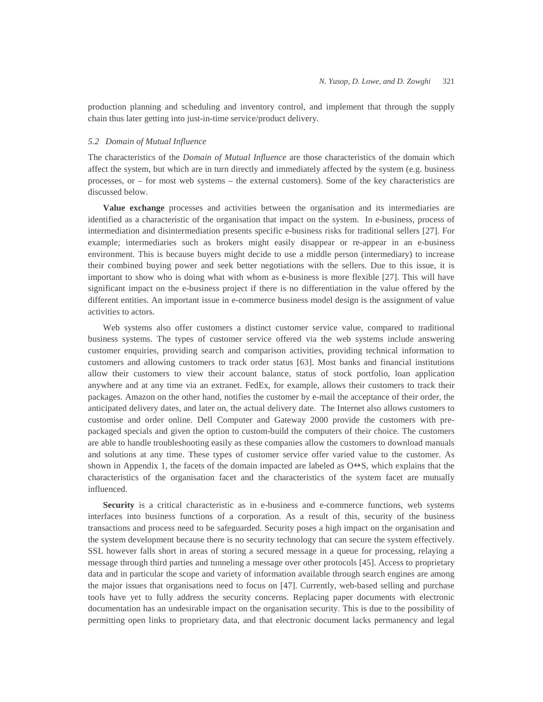production planning and scheduling and inventory control, and implement that through the supply chain thus later getting into just-in-time service/product delivery.

# *5.2 Domain of Mutual Influence*

The characteristics of the *Domain of Mutual Influence* are those characteristics of the domain which affect the system, but which are in turn directly and immediately affected by the system (e.g. business processes, or – for most web systems – the external customers). Some of the key characteristics are discussed below.

**Value exchange** processes and activities between the organisation and its intermediaries are identified as a characteristic of the organisation that impact on the system. In e-business, process of intermediation and disintermediation presents specific e-business risks for traditional sellers [27]. For example; intermediaries such as brokers might easily disappear or re-appear in an e-business environment. This is because buyers might decide to use a middle person (intermediary) to increase their combined buying power and seek better negotiations with the sellers. Due to this issue, it is important to show who is doing what with whom as e-business is more flexible [27]. This will have significant impact on the e-business project if there is no differentiation in the value offered by the different entities. An important issue in e-commerce business model design is the assignment of value activities to actors.

Web systems also offer customers a distinct customer service value, compared to traditional business systems. The types of customer service offered via the web systems include answering customer enquiries, providing search and comparison activities, providing technical information to customers and allowing customers to track order status [63]. Most banks and financial institutions allow their customers to view their account balance, status of stock portfolio, loan application anywhere and at any time via an extranet. FedEx, for example, allows their customers to track their packages. Amazon on the other hand, notifies the customer by e-mail the acceptance of their order, the anticipated delivery dates, and later on, the actual delivery date. The Internet also allows customers to customise and order online. Dell Computer and Gateway 2000 provide the customers with prepackaged specials and given the option to custom-build the computers of their choice. The customers are able to handle troubleshooting easily as these companies allow the customers to download manuals and solutions at any time. These types of customer service offer varied value to the customer. As shown in Appendix 1, the facets of the domain impacted are labeled as  $O \leftrightarrow S$ , which explains that the characteristics of the organisation facet and the characteristics of the system facet are mutually influenced.

**Security** is a critical characteristic as in e-business and e-commerce functions, web systems interfaces into business functions of a corporation. As a result of this, security of the business transactions and process need to be safeguarded. Security poses a high impact on the organisation and the system development because there is no security technology that can secure the system effectively. SSL however falls short in areas of storing a secured message in a queue for processing, relaying a message through third parties and tunneling a message over other protocols [45]. Access to proprietary data and in particular the scope and variety of information available through search engines are among the major issues that organisations need to focus on [47]. Currently, web-based selling and purchase tools have yet to fully address the security concerns. Replacing paper documents with electronic documentation has an undesirable impact on the organisation security. This is due to the possibility of permitting open links to proprietary data, and that electronic document lacks permanency and legal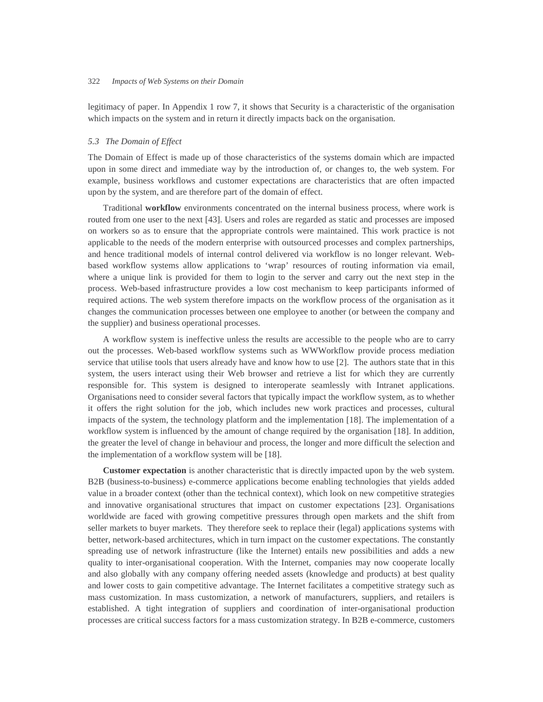legitimacy of paper. In Appendix 1 row 7, it shows that Security is a characteristic of the organisation which impacts on the system and in return it directly impacts back on the organisation.

## *5.3 The Domain of Effect*

The Domain of Effect is made up of those characteristics of the systems domain which are impacted upon in some direct and immediate way by the introduction of, or changes to, the web system. For example, business workflows and customer expectations are characteristics that are often impacted upon by the system, and are therefore part of the domain of effect.

Traditional **workflow** environments concentrated on the internal business process, where work is routed from one user to the next [43]. Users and roles are regarded as static and processes are imposed on workers so as to ensure that the appropriate controls were maintained. This work practice is not applicable to the needs of the modern enterprise with outsourced processes and complex partnerships, and hence traditional models of internal control delivered via workflow is no longer relevant. Webbased workflow systems allow applications to 'wrap' resources of routing information via email, where a unique link is provided for them to login to the server and carry out the next step in the process. Web-based infrastructure provides a low cost mechanism to keep participants informed of required actions. The web system therefore impacts on the workflow process of the organisation as it changes the communication processes between one employee to another (or between the company and the supplier) and business operational processes.

A workflow system is ineffective unless the results are accessible to the people who are to carry out the processes. Web-based workflow systems such as WWWorkflow provide process mediation service that utilise tools that users already have and know how to use [2]. The authors state that in this system, the users interact using their Web browser and retrieve a list for which they are currently responsible for. This system is designed to interoperate seamlessly with Intranet applications. Organisations need to consider several factors that typically impact the workflow system, as to whether it offers the right solution for the job, which includes new work practices and processes, cultural impacts of the system, the technology platform and the implementation [18]. The implementation of a workflow system is influenced by the amount of change required by the organisation [18]. In addition, the greater the level of change in behaviour and process, the longer and more difficult the selection and the implementation of a workflow system will be [18].

**Customer expectation** is another characteristic that is directly impacted upon by the web system. B2B (business-to-business) e-commerce applications become enabling technologies that yields added value in a broader context (other than the technical context), which look on new competitive strategies and innovative organisational structures that impact on customer expectations [23]. Organisations worldwide are faced with growing competitive pressures through open markets and the shift from seller markets to buyer markets. They therefore seek to replace their (legal) applications systems with better, network-based architectures, which in turn impact on the customer expectations. The constantly spreading use of network infrastructure (like the Internet) entails new possibilities and adds a new quality to inter-organisational cooperation. With the Internet, companies may now cooperate locally and also globally with any company offering needed assets (knowledge and products) at best quality and lower costs to gain competitive advantage. The Internet facilitates a competitive strategy such as mass customization. In mass customization, a network of manufacturers, suppliers, and retailers is established. A tight integration of suppliers and coordination of inter-organisational production processes are critical success factors for a mass customization strategy. In B2B e-commerce, customers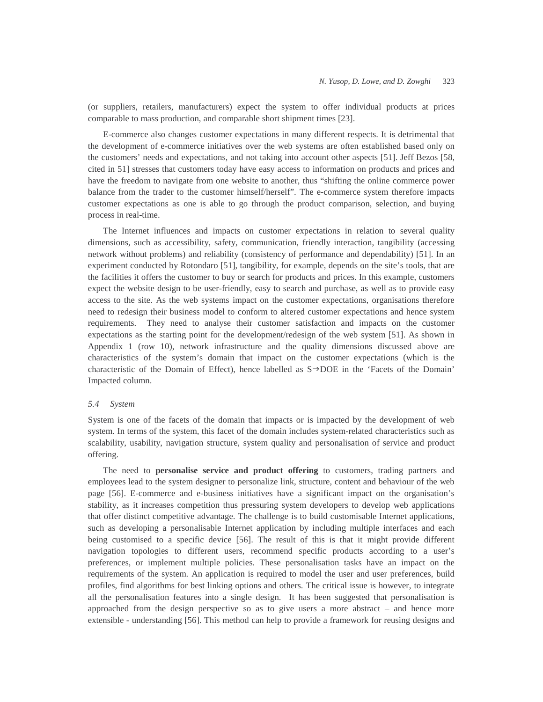(or suppliers, retailers, manufacturers) expect the system to offer individual products at prices comparable to mass production, and comparable short shipment times [23].

E-commerce also changes customer expectations in many different respects. It is detrimental that the development of e-commerce initiatives over the web systems are often established based only on the customers' needs and expectations, and not taking into account other aspects [51]. Jeff Bezos [58, cited in 51] stresses that customers today have easy access to information on products and prices and have the freedom to navigate from one website to another, thus "shifting the online commerce power balance from the trader to the customer himself/herself". The e-commerce system therefore impacts customer expectations as one is able to go through the product comparison, selection, and buying process in real-time.

The Internet influences and impacts on customer expectations in relation to several quality dimensions, such as accessibility, safety, communication, friendly interaction, tangibility (accessing network without problems) and reliability (consistency of performance and dependability) [51]. In an experiment conducted by Rotondaro [51], tangibility, for example, depends on the site's tools, that are the facilities it offers the customer to buy or search for products and prices. In this example, customers expect the website design to be user-friendly, easy to search and purchase, as well as to provide easy access to the site. As the web systems impact on the customer expectations, organisations therefore need to redesign their business model to conform to altered customer expectations and hence system requirements. They need to analyse their customer satisfaction and impacts on the customer expectations as the starting point for the development/redesign of the web system [51]. As shown in Appendix 1 (row 10), network infrastructure and the quality dimensions discussed above are characteristics of the system's domain that impact on the customer expectations (which is the characteristic of the Domain of Effect), hence labelled as  $S \rightarrow DOE$  in the 'Facets of the Domain' Impacted column.

### *5.4 System*

System is one of the facets of the domain that impacts or is impacted by the development of web system. In terms of the system, this facet of the domain includes system-related characteristics such as scalability, usability, navigation structure, system quality and personalisation of service and product offering.

The need to **personalise service and product offering** to customers, trading partners and employees lead to the system designer to personalize link, structure, content and behaviour of the web page [56]. E-commerce and e-business initiatives have a significant impact on the organisation's stability, as it increases competition thus pressuring system developers to develop web applications that offer distinct competitive advantage. The challenge is to build customisable Internet applications, such as developing a personalisable Internet application by including multiple interfaces and each being customised to a specific device [56]. The result of this is that it might provide different navigation topologies to different users, recommend specific products according to a user's preferences, or implement multiple policies. These personalisation tasks have an impact on the requirements of the system. An application is required to model the user and user preferences, build profiles, find algorithms for best linking options and others. The critical issue is however, to integrate all the personalisation features into a single design. It has been suggested that personalisation is approached from the design perspective so as to give users a more abstract – and hence more extensible - understanding [56]. This method can help to provide a framework for reusing designs and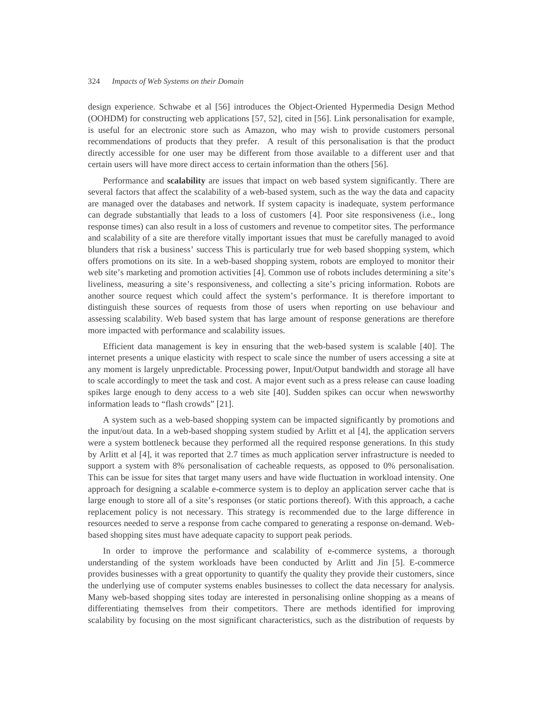design experience. Schwabe et al [56] introduces the Object-Oriented Hypermedia Design Method (OOHDM) for constructing web applications [57, 52], cited in [56]. Link personalisation for example, is useful for an electronic store such as Amazon, who may wish to provide customers personal recommendations of products that they prefer. A result of this personalisation is that the product directly accessible for one user may be different from those available to a different user and that certain users will have more direct access to certain information than the others [56].

Performance and **scalability** are issues that impact on web based system significantly. There are several factors that affect the scalability of a web-based system, such as the way the data and capacity are managed over the databases and network. If system capacity is inadequate, system performance can degrade substantially that leads to a loss of customers [4]. Poor site responsiveness (i.e., long response times) can also result in a loss of customers and revenue to competitor sites. The performance and scalability of a site are therefore vitally important issues that must be carefully managed to avoid blunders that risk a business' success This is particularly true for web based shopping system, which offers promotions on its site. In a web-based shopping system, robots are employed to monitor their web site's marketing and promotion activities [4]. Common use of robots includes determining a site's liveliness, measuring a site's responsiveness, and collecting a site's pricing information. Robots are another source request which could affect the system's performance. It is therefore important to distinguish these sources of requests from those of users when reporting on use behaviour and assessing scalability. Web based system that has large amount of response generations are therefore more impacted with performance and scalability issues.

Efficient data management is key in ensuring that the web-based system is scalable [40]. The internet presents a unique elasticity with respect to scale since the number of users accessing a site at any moment is largely unpredictable. Processing power, Input/Output bandwidth and storage all have to scale accordingly to meet the task and cost. A major event such as a press release can cause loading spikes large enough to deny access to a web site [40]. Sudden spikes can occur when newsworthy information leads to "flash crowds" [21].

A system such as a web-based shopping system can be impacted significantly by promotions and the input/out data. In a web-based shopping system studied by Arlitt et al [4], the application servers were a system bottleneck because they performed all the required response generations. In this study by Arlitt et al [4], it was reported that 2.7 times as much application server infrastructure is needed to support a system with 8% personalisation of cacheable requests, as opposed to 0% personalisation. This can be issue for sites that target many users and have wide fluctuation in workload intensity. One approach for designing a scalable e-commerce system is to deploy an application server cache that is large enough to store all of a site's responses (or static portions thereof). With this approach, a cache replacement policy is not necessary. This strategy is recommended due to the large difference in resources needed to serve a response from cache compared to generating a response on-demand. Webbased shopping sites must have adequate capacity to support peak periods.

In order to improve the performance and scalability of e-commerce systems, a thorough understanding of the system workloads have been conducted by Arlitt and Jin [5]. E-commerce provides businesses with a great opportunity to quantify the quality they provide their customers, since the underlying use of computer systems enables businesses to collect the data necessary for analysis. Many web-based shopping sites today are interested in personalising online shopping as a means of differentiating themselves from their competitors. There are methods identified for improving scalability by focusing on the most significant characteristics, such as the distribution of requests by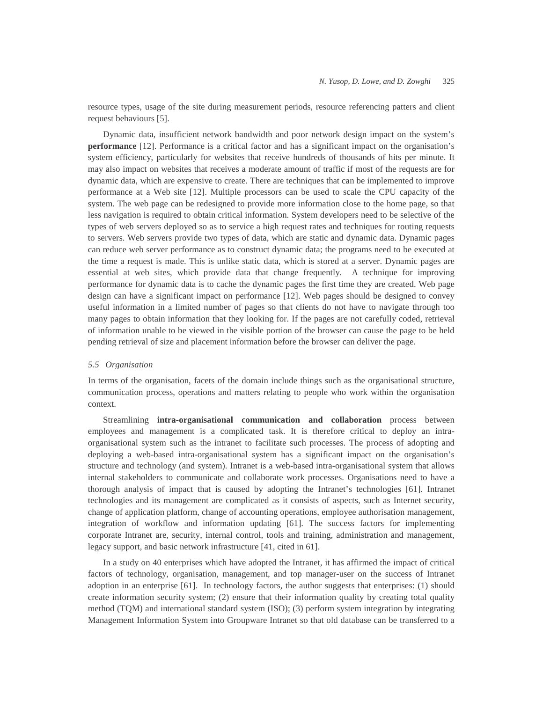resource types, usage of the site during measurement periods, resource referencing patters and client request behaviours [5].

Dynamic data, insufficient network bandwidth and poor network design impact on the system's **performance** [12]. Performance is a critical factor and has a significant impact on the organisation's system efficiency, particularly for websites that receive hundreds of thousands of hits per minute. It may also impact on websites that receives a moderate amount of traffic if most of the requests are for dynamic data, which are expensive to create. There are techniques that can be implemented to improve performance at a Web site [12]. Multiple processors can be used to scale the CPU capacity of the system. The web page can be redesigned to provide more information close to the home page, so that less navigation is required to obtain critical information. System developers need to be selective of the types of web servers deployed so as to service a high request rates and techniques for routing requests to servers. Web servers provide two types of data, which are static and dynamic data. Dynamic pages can reduce web server performance as to construct dynamic data; the programs need to be executed at the time a request is made. This is unlike static data, which is stored at a server. Dynamic pages are essential at web sites, which provide data that change frequently. A technique for improving performance for dynamic data is to cache the dynamic pages the first time they are created. Web page design can have a significant impact on performance [12]. Web pages should be designed to convey useful information in a limited number of pages so that clients do not have to navigate through too many pages to obtain information that they looking for. If the pages are not carefully coded, retrieval of information unable to be viewed in the visible portion of the browser can cause the page to be held pending retrieval of size and placement information before the browser can deliver the page.

## *5.5 Organisation*

In terms of the organisation, facets of the domain include things such as the organisational structure, communication process, operations and matters relating to people who work within the organisation context.

Streamlining **intra-organisational communication and collaboration** process between employees and management is a complicated task. It is therefore critical to deploy an intraorganisational system such as the intranet to facilitate such processes. The process of adopting and deploying a web-based intra-organisational system has a significant impact on the organisation's structure and technology (and system). Intranet is a web-based intra-organisational system that allows internal stakeholders to communicate and collaborate work processes. Organisations need to have a thorough analysis of impact that is caused by adopting the Intranet's technologies [61]. Intranet technologies and its management are complicated as it consists of aspects, such as Internet security, change of application platform, change of accounting operations, employee authorisation management, integration of workflow and information updating [61]. The success factors for implementing corporate Intranet are, security, internal control, tools and training, administration and management, legacy support, and basic network infrastructure [41, cited in 61].

In a study on 40 enterprises which have adopted the Intranet, it has affirmed the impact of critical factors of technology, organisation, management, and top manager-user on the success of Intranet adoption in an enterprise [61]. In technology factors, the author suggests that enterprises: (1) should create information security system; (2) ensure that their information quality by creating total quality method (TQM) and international standard system (ISO); (3) perform system integration by integrating Management Information System into Groupware Intranet so that old database can be transferred to a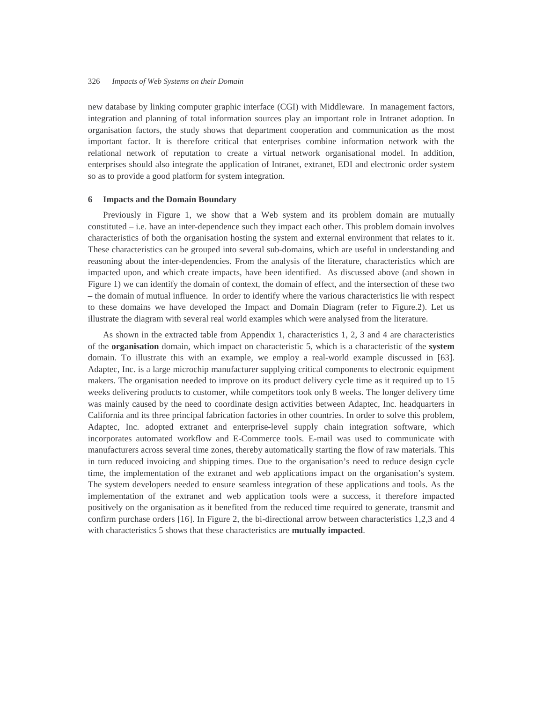new database by linking computer graphic interface (CGI) with Middleware. In management factors, integration and planning of total information sources play an important role in Intranet adoption. In organisation factors, the study shows that department cooperation and communication as the most important factor. It is therefore critical that enterprises combine information network with the relational network of reputation to create a virtual network organisational model. In addition, enterprises should also integrate the application of Intranet, extranet, EDI and electronic order system so as to provide a good platform for system integration.

### **6 Impacts and the Domain Boundary**

Previously in Figure 1, we show that a Web system and its problem domain are mutually constituted – i.e. have an inter-dependence such they impact each other. This problem domain involves characteristics of both the organisation hosting the system and external environment that relates to it. These characteristics can be grouped into several sub-domains, which are useful in understanding and reasoning about the inter-dependencies. From the analysis of the literature, characteristics which are impacted upon, and which create impacts, have been identified. As discussed above (and shown in Figure 1) we can identify the domain of context, the domain of effect, and the intersection of these two – the domain of mutual influence. In order to identify where the various characteristics lie with respect to these domains we have developed the Impact and Domain Diagram (refer to Figure.2). Let us illustrate the diagram with several real world examples which were analysed from the literature.

As shown in the extracted table from Appendix 1, characteristics 1, 2, 3 and 4 are characteristics of the **organisation** domain, which impact on characteristic 5, which is a characteristic of the **system** domain. To illustrate this with an example, we employ a real-world example discussed in [63]. Adaptec, Inc. is a large microchip manufacturer supplying critical components to electronic equipment makers. The organisation needed to improve on its product delivery cycle time as it required up to 15 weeks delivering products to customer, while competitors took only 8 weeks. The longer delivery time was mainly caused by the need to coordinate design activities between Adaptec, Inc. headquarters in California and its three principal fabrication factories in other countries. In order to solve this problem, Adaptec, Inc. adopted extranet and enterprise-level supply chain integration software, which incorporates automated workflow and E-Commerce tools. E-mail was used to communicate with manufacturers across several time zones, thereby automatically starting the flow of raw materials. This in turn reduced invoicing and shipping times. Due to the organisation's need to reduce design cycle time, the implementation of the extranet and web applications impact on the organisation's system. The system developers needed to ensure seamless integration of these applications and tools. As the implementation of the extranet and web application tools were a success, it therefore impacted positively on the organisation as it benefited from the reduced time required to generate, transmit and confirm purchase orders [16]. In Figure 2, the bi-directional arrow between characteristics 1,2,3 and 4 with characteristics 5 shows that these characteristics are **mutually impacted**.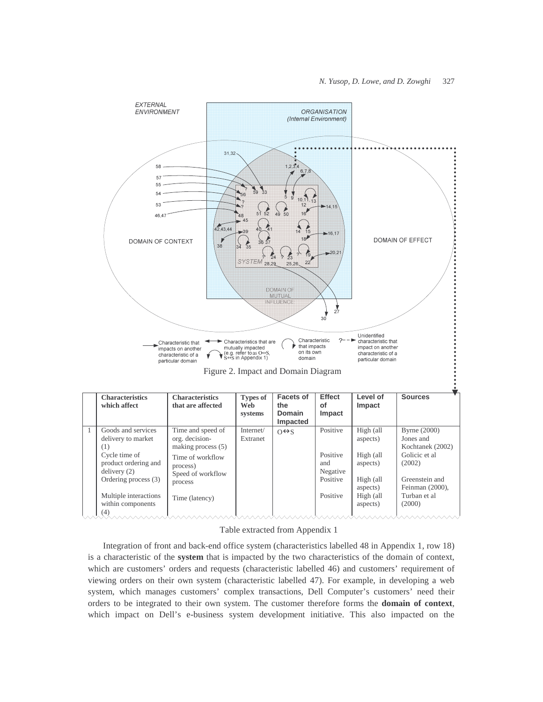

### Table extracted from Appendix 1

Integration of front and back-end office system (characteristics labelled 48 in Appendix 1, row 18) is a characteristic of the **system** that is impacted by the two characteristics of the domain of context, which are customers' orders and requests (characteristic labelled 46) and customers' requirement of viewing orders on their own system (characteristic labelled 47). For example, in developing a web system, which manages customers' complex transactions, Dell Computer's customers' need their orders to be integrated to their own system. The customer therefore forms the **domain of context**, which impact on Dell's e-business system development initiative. This also impacted on the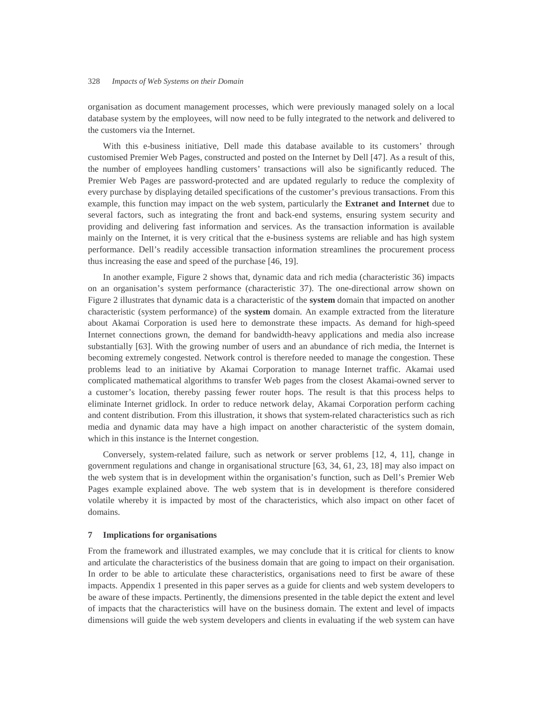organisation as document management processes, which were previously managed solely on a local database system by the employees, will now need to be fully integrated to the network and delivered to the customers via the Internet.

With this e-business initiative, Dell made this database available to its customers' through customised Premier Web Pages, constructed and posted on the Internet by Dell [47]. As a result of this, the number of employees handling customers' transactions will also be significantly reduced. The Premier Web Pages are password-protected and are updated regularly to reduce the complexity of every purchase by displaying detailed specifications of the customer's previous transactions. From this example, this function may impact on the web system, particularly the **Extranet and Internet** due to several factors, such as integrating the front and back-end systems, ensuring system security and providing and delivering fast information and services. As the transaction information is available mainly on the Internet, it is very critical that the e-business systems are reliable and has high system performance. Dell's readily accessible transaction information streamlines the procurement process thus increasing the ease and speed of the purchase [46, 19].

In another example, Figure 2 shows that, dynamic data and rich media (characteristic 36) impacts on an organisation's system performance (characteristic 37). The one-directional arrow shown on Figure 2 illustrates that dynamic data is a characteristic of the **system** domain that impacted on another characteristic (system performance) of the **system** domain. An example extracted from the literature about Akamai Corporation is used here to demonstrate these impacts. As demand for high-speed Internet connections grown, the demand for bandwidth-heavy applications and media also increase substantially [63]. With the growing number of users and an abundance of rich media, the Internet is becoming extremely congested. Network control is therefore needed to manage the congestion. These problems lead to an initiative by Akamai Corporation to manage Internet traffic. Akamai used complicated mathematical algorithms to transfer Web pages from the closest Akamai-owned server to a customer's location, thereby passing fewer router hops. The result is that this process helps to eliminate Internet gridlock. In order to reduce network delay, Akamai Corporation perform caching and content distribution. From this illustration, it shows that system-related characteristics such as rich media and dynamic data may have a high impact on another characteristic of the system domain, which in this instance is the Internet congestion.

Conversely, system-related failure, such as network or server problems [12, 4, 11], change in government regulations and change in organisational structure [63, 34, 61, 23, 18] may also impact on the web system that is in development within the organisation's function, such as Dell's Premier Web Pages example explained above. The web system that is in development is therefore considered volatile whereby it is impacted by most of the characteristics, which also impact on other facet of domains.

### **7 Implications for organisations**

From the framework and illustrated examples, we may conclude that it is critical for clients to know and articulate the characteristics of the business domain that are going to impact on their organisation. In order to be able to articulate these characteristics, organisations need to first be aware of these impacts. Appendix 1 presented in this paper serves as a guide for clients and web system developers to be aware of these impacts. Pertinently, the dimensions presented in the table depict the extent and level of impacts that the characteristics will have on the business domain. The extent and level of impacts dimensions will guide the web system developers and clients in evaluating if the web system can have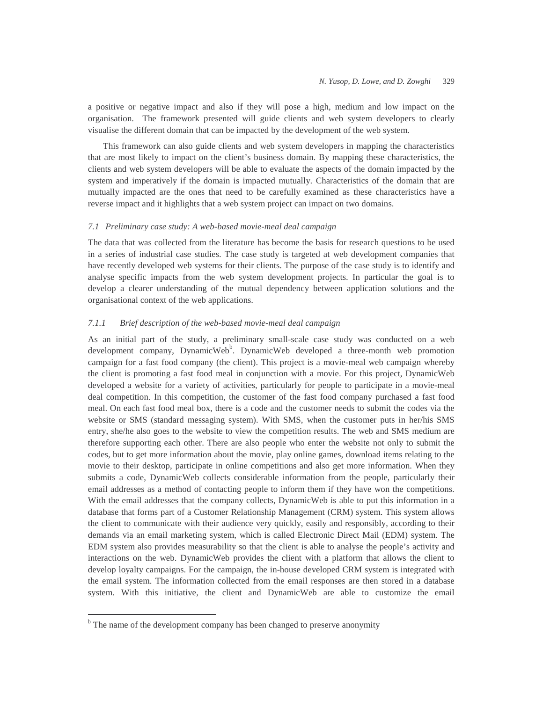a positive or negative impact and also if they will pose a high, medium and low impact on the organisation. The framework presented will guide clients and web system developers to clearly visualise the different domain that can be impacted by the development of the web system.

This framework can also guide clients and web system developers in mapping the characteristics that are most likely to impact on the client's business domain. By mapping these characteristics, the clients and web system developers will be able to evaluate the aspects of the domain impacted by the system and imperatively if the domain is impacted mutually. Characteristics of the domain that are mutually impacted are the ones that need to be carefully examined as these characteristics have a reverse impact and it highlights that a web system project can impact on two domains.

### *7.1 Preliminary case study: A web-based movie-meal deal campaign*

The data that was collected from the literature has become the basis for research questions to be used in a series of industrial case studies. The case study is targeted at web development companies that have recently developed web systems for their clients. The purpose of the case study is to identify and analyse specific impacts from the web system development projects. In particular the goal is to develop a clearer understanding of the mutual dependency between application solutions and the organisational context of the web applications.

# *7.1.1 Brief description of the web-based movie-meal deal campaign*

As an initial part of the study, a preliminary small-scale case study was conducted on a web development company, DynamicWeb<sup>b</sup>. DynamicWeb developed a three-month web promotion campaign for a fast food company (the client). This project is a movie-meal web campaign whereby the client is promoting a fast food meal in conjunction with a movie. For this project, DynamicWeb developed a website for a variety of activities, particularly for people to participate in a movie-meal deal competition. In this competition, the customer of the fast food company purchased a fast food meal. On each fast food meal box, there is a code and the customer needs to submit the codes via the website or SMS (standard messaging system). With SMS, when the customer puts in her/his SMS entry, she/he also goes to the website to view the competition results. The web and SMS medium are therefore supporting each other. There are also people who enter the website not only to submit the codes, but to get more information about the movie, play online games, download items relating to the movie to their desktop, participate in online competitions and also get more information. When they submits a code, DynamicWeb collects considerable information from the people, particularly their email addresses as a method of contacting people to inform them if they have won the competitions. With the email addresses that the company collects, DynamicWeb is able to put this information in a database that forms part of a Customer Relationship Management (CRM) system. This system allows the client to communicate with their audience very quickly, easily and responsibly, according to their demands via an email marketing system, which is called Electronic Direct Mail (EDM) system. The EDM system also provides measurability so that the client is able to analyse the people's activity and interactions on the web. DynamicWeb provides the client with a platform that allows the client to develop loyalty campaigns. For the campaign, the in-house developed CRM system is integrated with the email system. The information collected from the email responses are then stored in a database system. With this initiative, the client and DynamicWeb are able to customize the email

 $\overline{a}$ 

<sup>&</sup>lt;sup>b</sup> The name of the development company has been changed to preserve anonymity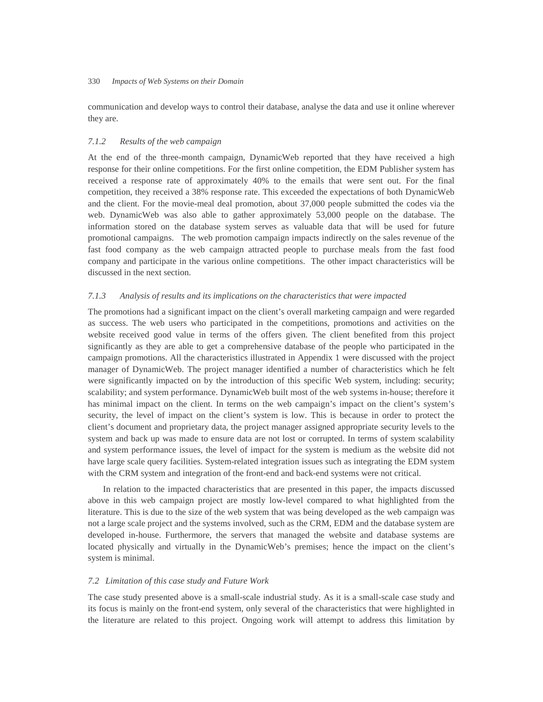communication and develop ways to control their database, analyse the data and use it online wherever they are.

## *7.1.2 Results of the web campaign*

At the end of the three-month campaign, DynamicWeb reported that they have received a high response for their online competitions. For the first online competition, the EDM Publisher system has received a response rate of approximately 40% to the emails that were sent out. For the final competition, they received a 38% response rate. This exceeded the expectations of both DynamicWeb and the client. For the movie-meal deal promotion, about 37,000 people submitted the codes via the web. DynamicWeb was also able to gather approximately 53,000 people on the database. The information stored on the database system serves as valuable data that will be used for future promotional campaigns. The web promotion campaign impacts indirectly on the sales revenue of the fast food company as the web campaign attracted people to purchase meals from the fast food company and participate in the various online competitions. The other impact characteristics will be discussed in the next section.

## *7.1.3 Analysis of results and its implications on the characteristics that were impacted*

The promotions had a significant impact on the client's overall marketing campaign and were regarded as success. The web users who participated in the competitions, promotions and activities on the website received good value in terms of the offers given. The client benefited from this project significantly as they are able to get a comprehensive database of the people who participated in the campaign promotions. All the characteristics illustrated in Appendix 1 were discussed with the project manager of DynamicWeb. The project manager identified a number of characteristics which he felt were significantly impacted on by the introduction of this specific Web system, including: security; scalability; and system performance. DynamicWeb built most of the web systems in-house; therefore it has minimal impact on the client. In terms on the web campaign's impact on the client's system's security, the level of impact on the client's system is low. This is because in order to protect the client's document and proprietary data, the project manager assigned appropriate security levels to the system and back up was made to ensure data are not lost or corrupted. In terms of system scalability and system performance issues, the level of impact for the system is medium as the website did not have large scale query facilities. System-related integration issues such as integrating the EDM system with the CRM system and integration of the front-end and back-end systems were not critical.

In relation to the impacted characteristics that are presented in this paper, the impacts discussed above in this web campaign project are mostly low-level compared to what highlighted from the literature. This is due to the size of the web system that was being developed as the web campaign was not a large scale project and the systems involved, such as the CRM, EDM and the database system are developed in-house. Furthermore, the servers that managed the website and database systems are located physically and virtually in the DynamicWeb's premises; hence the impact on the client's system is minimal.

### *7.2 Limitation of this case study and Future Work*

The case study presented above is a small-scale industrial study. As it is a small-scale case study and its focus is mainly on the front-end system, only several of the characteristics that were highlighted in the literature are related to this project. Ongoing work will attempt to address this limitation by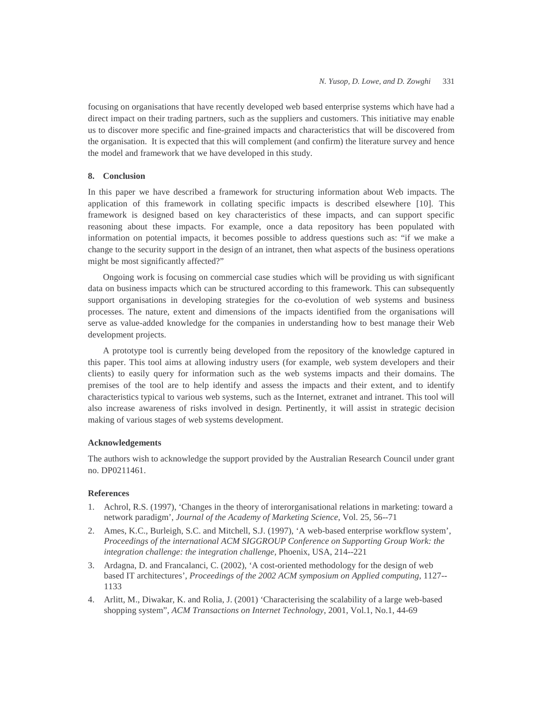focusing on organisations that have recently developed web based enterprise systems which have had a direct impact on their trading partners, such as the suppliers and customers. This initiative may enable us to discover more specific and fine-grained impacts and characteristics that will be discovered from the organisation. It is expected that this will complement (and confirm) the literature survey and hence the model and framework that we have developed in this study.

# **8. Conclusion**

In this paper we have described a framework for structuring information about Web impacts. The application of this framework in collating specific impacts is described elsewhere [10]. This framework is designed based on key characteristics of these impacts, and can support specific reasoning about these impacts. For example, once a data repository has been populated with information on potential impacts, it becomes possible to address questions such as: "if we make a change to the security support in the design of an intranet, then what aspects of the business operations might be most significantly affected?"

Ongoing work is focusing on commercial case studies which will be providing us with significant data on business impacts which can be structured according to this framework. This can subsequently support organisations in developing strategies for the co-evolution of web systems and business processes. The nature, extent and dimensions of the impacts identified from the organisations will serve as value-added knowledge for the companies in understanding how to best manage their Web development projects.

A prototype tool is currently being developed from the repository of the knowledge captured in this paper. This tool aims at allowing industry users (for example, web system developers and their clients) to easily query for information such as the web systems impacts and their domains. The premises of the tool are to help identify and assess the impacts and their extent, and to identify characteristics typical to various web systems, such as the Internet, extranet and intranet. This tool will also increase awareness of risks involved in design. Pertinently, it will assist in strategic decision making of various stages of web systems development.

## **Acknowledgements**

The authors wish to acknowledge the support provided by the Australian Research Council under grant no. DP0211461.

## **References**

- 1. Achrol, R.S. (1997), 'Changes in the theory of interorganisational relations in marketing: toward a network paradigm', *Journal of the Academy of Marketing Science*, Vol. 25, 56--71
- 2. Ames, K.C., Burleigh, S.C. and Mitchell, S.J. (1997), 'A web-based enterprise workflow system', *Proceedings of the international ACM SIGGROUP Conference on Supporting Group Work: the integration challenge: the integration challenge,* Phoenix, USA, 214--221
- 3. Ardagna, D. and Francalanci, C. (2002), 'A cost-oriented methodology for the design of web based IT architectures', *Proceedings of the 2002 ACM symposium on Applied computing*, 1127-- 1133
- 4. Arlitt, M., Diwakar, K. and Rolia, J. (2001) 'Characterising the scalability of a large web-based shopping system", *ACM Transactions on Internet Technology*, 2001, Vol.1, No.1, 44-69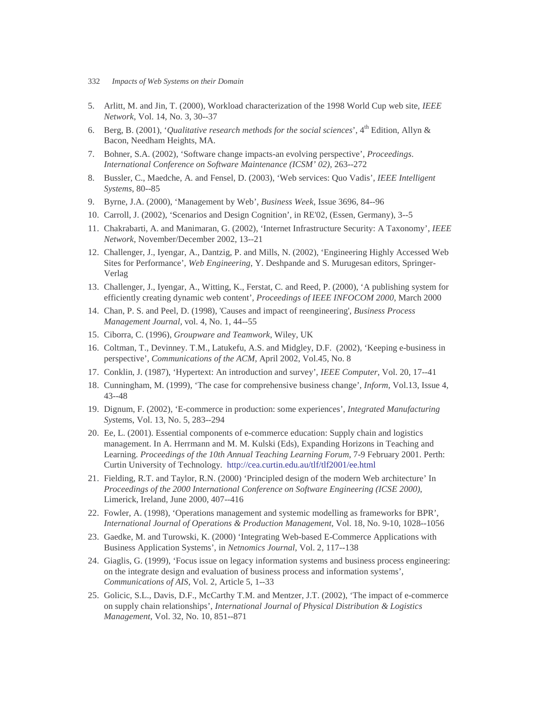- 332 *Impacts of Web Systems on their Domain*
- 5. Arlitt, M. and Jin, T. (2000), Workload characterization of the 1998 World Cup web site, *IEEE Network*, Vol. 14, No. 3, 30--37
- 6. Berg, B. (2001), '*Qualitative research methods for the social sciences*', 4th Edition, Allyn & Bacon, Needham Heights, MA.
- 7. Bohner, S.A. (2002), 'Software change impacts-an evolving perspective', *Proceedings*. *International Conference on Software Maintenance (ICSM' 02),* 263--272
- 8. Bussler, C., Maedche, A. and Fensel, D. (2003), 'Web services: Quo Vadis'*, IEEE Intelligent Systems*, 80--85
- 9. Byrne, J.A. (2000), 'Management by Web', *Business Week*, Issue 3696, 84--96
- 10. Carroll, J. (2002), 'Scenarios and Design Cognition', in RE'02, (Essen, Germany), 3--5
- 11. Chakrabarti, A. and Manimaran, G. (2002), 'Internet Infrastructure Security: A Taxonomy', *IEEE Network*, November/December 2002, 13--21
- 12. Challenger, J., Iyengar, A., Dantzig, P. and Mills, N. (2002), 'Engineering Highly Accessed Web Sites for Performance', *Web Engineering*, Y. Deshpande and S. Murugesan editors, Springer-Verlag
- 13. Challenger, J., Iyengar, A., Witting, K., Ferstat, C. and Reed, P. (2000), 'A publishing system for efficiently creating dynamic web content', *Proceedings of IEEE INFOCOM 2000*, March 2000
- 14. Chan, P. S. and Peel, D. (1998), 'Causes and impact of reengineering', *Business Process Management Journal,* vol. 4, No. 1, 44--55
- 15. Ciborra, C. (1996), *Groupware and Teamwork*, Wiley, UK
- 16. Coltman, T., Devinney. T.M., Latukefu, A.S. and Midgley, D.F. (2002), 'Keeping e-business in perspective', *Communications of the ACM*, April 2002, Vol.45, No. 8
- 17. Conklin, J. (1987), 'Hypertext: An introduction and survey', *IEEE Computer*, Vol. 20, 17--41
- 18. Cunningham, M. (1999), 'The case for comprehensive business change', *Inform*, Vol.13, Issue 4, 43--48
- 19. Dignum, F. (2002), 'E-commerce in production: some experiences', *Integrated Manufacturing Sys*tems, Vol. 13, No. 5, 283--294
- 20. Ee, L. (2001). Essential components of e-commerce education: Supply chain and logistics management. In A. Herrmann and M. M. Kulski (Eds), Expanding Horizons in Teaching and Learning. *Proceedings of the 10th Annual Teaching Learning Forum*, 7-9 February 2001. Perth: Curtin University of Technology. http://cea.curtin.edu.au/tlf/tlf2001/ee.html
- 21. Fielding, R.T. and Taylor, R.N. (2000) 'Principled design of the modern Web architecture' In *Proceedings of the 2000 International Conference on Software Engineering (ICSE 2000)*, Limerick, Ireland, June 2000, 407--416
- 22. Fowler, A. (1998), 'Operations management and systemic modelling as frameworks for BPR', *International Journal of Operations & Production Management*, Vol. 18, No. 9-10, 1028--1056
- 23. Gaedke, M. and Turowski, K. (2000) 'Integrating Web-based E-Commerce Applications with Business Application Systems', in *Netnomics Journal*, Vol. 2, 117--138
- 24. Giaglis, G. (1999), 'Focus issue on legacy information systems and business process engineering: on the integrate design and evaluation of business process and information systems', *Communications of AIS*, Vol. 2, Article 5, 1--33
- 25. Golicic, S.L., Davis, D.F., McCarthy T.M. and Mentzer, J.T. (2002), 'The impact of e-commerce on supply chain relationships', *International Journal of Physical Distribution & Logistics Management*, Vol. 32, No. 10, 851--871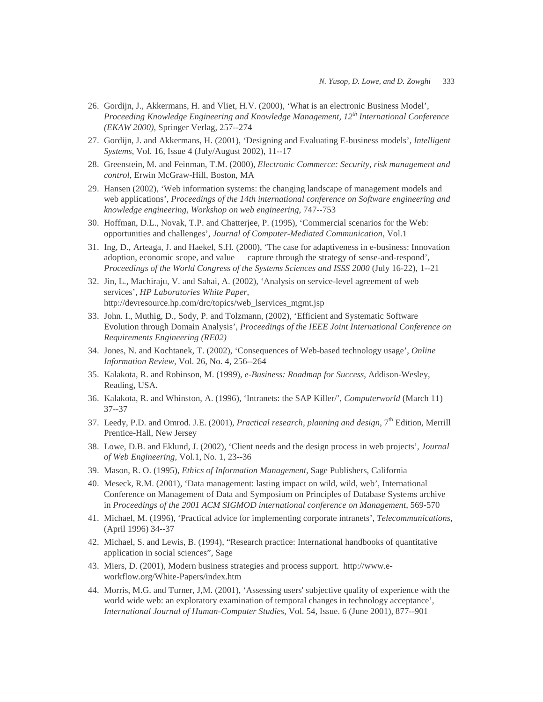- 26. Gordijn, J., Akkermans, H. and Vliet, H.V. (2000), 'What is an electronic Business Model', *Proceeding Knowledge Engineering and Knowledge Management, 12th International Conference (EKAW 2000)*, Springer Verlag, 257--274
- 27. Gordijn, J. and Akkermans, H. (2001), 'Designing and Evaluating E-business models', *Intelligent Systems*, Vol. 16, Issue 4 (July/August 2002), 11--17
- 28. Greenstein, M. and Feinman, T.M. (2000), *Electronic Commerce: Security, risk management and control*, Erwin McGraw-Hill, Boston, MA
- 29. Hansen (2002), 'Web information systems: the changing landscape of management models and web applications', *Proceedings of the 14th international conference on Software engineering and knowledge engineering, Workshop on web engineering*, 747--753
- 30. Hoffman, D.L., Novak, T.P. and Chatterjee, P. (1995), 'Commercial scenarios for the Web: opportunities and challenges', *Journal of Computer-Mediated Communication*, Vol.1
- 31. Ing, D., Arteaga, J. and Haekel, S.H. (2000), 'The case for adaptiveness in e-business: Innovation adoption, economic scope, and value capture through the strategy of sense-and-respond', *Proceedings of the World Congress of the Systems Sciences and ISSS 2000* (July 16-22), 1--21
- 32. Jin, L., Machiraju, V. and Sahai, A. (2002), 'Analysis on service-level agreement of web services', *HP Laboratories White Paper*, http://devresource.hp.com/drc/topics/web\_lservices\_mgmt.jsp
- 33. John. I., Muthig, D., Sody, P. and Tolzmann, (2002), 'Efficient and Systematic Software Evolution through Domain Analysis', *Proceedings of the IEEE Joint International Conference on Requirements Engineering (RE02)*
- 34. Jones, N. and Kochtanek, T. (2002), 'Consequences of Web-based technology usage', *Online Information Review*, Vol. 26, No. 4, 256--264
- 35. Kalakota, R. and Robinson, M. (1999), *e-Business: Roadmap for Success*, Addison-Wesley, Reading, USA.
- 36. Kalakota, R. and Whinston, A. (1996), 'Intranets: the SAP Killer/', *Computerworld* (March 11) 37--37
- 37. Leedy, P.D. and Omrod. J.E. (2001), *Practical research, planning and design*, 7th Edition, Merrill Prentice-Hall, New Jersey
- 38. Lowe, D.B. and Eklund, J. (2002), 'Client needs and the design process in web projects', *Journal of Web Engineering*, Vol.1, No. 1, 23--36
- 39. Mason, R. O. (1995), *Ethics of Information Management,* Sage Publishers, California
- 40. Meseck, R.M. (2001), 'Data management: lasting impact on wild, wild, web', International Conference on Management of Data and Symposium on Principles of Database Systems archive in *Proceedings of the 2001 ACM SIGMOD international conference on Management*, 569-570
- 41. Michael, M. (1996), 'Practical advice for implementing corporate intranets', *Telecommunications*, (April 1996) 34--37
- 42. Michael, S. and Lewis, B. (1994), "Research practice: International handbooks of quantitative application in social sciences", Sage
- 43. Miers, D. (2001), Modern business strategies and process support. http://www.eworkflow.org/White-Papers/index.htm
- 44. Morris, M.G. and Turner, J,M. (2001), 'Assessing users' subjective quality of experience with the world wide web: an exploratory examination of temporal changes in technology acceptance', *International Journal of Human-Computer Studies*, Vol. 54, Issue. 6 (June 2001), 877--901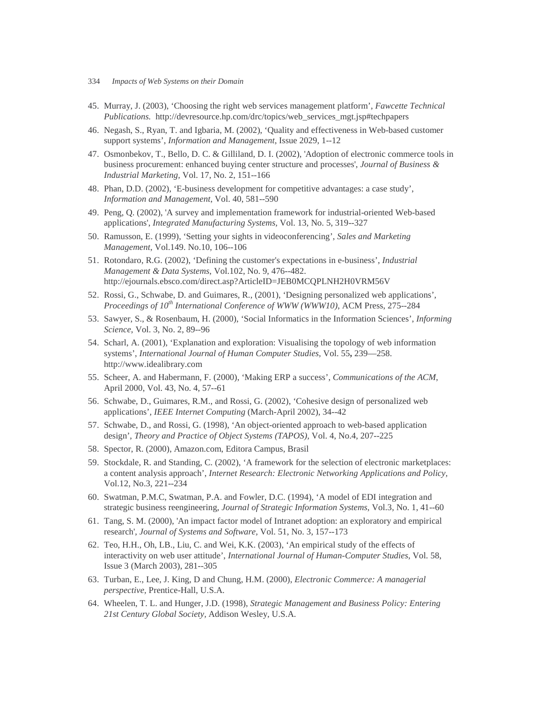- 334 *Impacts of Web Systems on their Domain*
- 45. Murray, J. (2003), 'Choosing the right web services management platform', *Fawcette Technical Publications.* http://devresource.hp.com/drc/topics/web\_services\_mgt.jsp#techpapers
- 46. Negash, S., Ryan, T. and Igbaria, M. (2002), 'Quality and effectiveness in Web-based customer support systems', *Information and Management*, Issue 2029, 1--12
- 47. Osmonbekov, T., Bello, D. C. & Gilliland, D. I. (2002), 'Adoption of electronic commerce tools in business procurement: enhanced buying center structure and processes', *Journal of Business & Industrial Marketing,* Vol. 17, No. 2, 151--166
- 48. Phan, D.D. (2002), 'E-business development for competitive advantages: a case study', *Information and Management*, Vol. 40, 581--590
- 49. Peng, Q. (2002), 'A survey and implementation framework for industrial-oriented Web-based applications', *Integrated Manufacturing Systems,* Vol. 13, No. 5, 319--327
- 50. Ramusson, E. (1999), 'Setting your sights in videoconferencing', *Sales and Marketing Management*, Vol.149. No.10, 106--106
- 51. Rotondaro, R.G. (2002), 'Defining the customer's expectations in e-business', *Industrial Management & Data Systems*, Vol.102, No. 9, 476--482. http://ejournals.ebsco.com/direct.asp?ArticleID=JEB0MCQPLNH2H0VRM56V
- 52. Rossi, G., Schwabe, D. and Guimares, R., (2001), 'Designing personalized web applications', *Proceedings of 10th International Conference of WWW (WWW10)*, ACM Press, 275--284
- 53. Sawyer, S., & Rosenbaum, H. (2000), 'Social Informatics in the Information Sciences', *Informing Science*, Vol. 3, No. 2, 89--96
- 54. Scharl, A. (2001), 'Explanation and exploration: Visualising the topology of web information systems', *International Journal of Human Computer Studies,* Vol. 55**,** 239—258. http://www.idealibrary.com
- 55. Scheer, A. and Habermann, F. (2000), 'Making ERP a success', *Communications of the ACM*, April 2000, Vol. 43, No. 4, 57--61
- 56. Schwabe, D., Guimares, R.M., and Rossi, G. (2002), 'Cohesive design of personalized web applications'*, IEEE Internet Computing* (March-April 2002), 34--42
- 57. Schwabe, D., and Rossi, G. (1998), 'An object-oriented approach to web-based application design', *Theory and Practice of Object Systems (TAPOS),* Vol. 4, No.4, 207--225
- 58. Spector, R. (2000), Amazon.com, Editora Campus, Brasil
- 59. Stockdale, R. and Standing, C. (2002), 'A framework for the selection of electronic marketplaces: a content analysis approach', *Internet Research: Electronic Networking Applications and Policy,* Vol.12, No.3, 221--234
- 60. Swatman, P.M.C, Swatman, P.A. and Fowler, D.C. (1994), 'A model of EDI integration and strategic business reengineering, *Journal of Strategic Information Systems*, Vol.3, No. 1, 41--60
- 61. Tang, S. M. (2000), 'An impact factor model of Intranet adoption: an exploratory and empirical research', *Journal of Systems and Software,* Vol. 51, No. 3, 157--173
- 62. Teo, H.H., Oh, LB., Liu, C. and Wei, K.K. (2003), 'An empirical study of the effects of interactivity on web user attitude', *International Journal of Human-Computer Studies*, Vol. 58, Issue 3 (March 2003), 281--305
- 63. Turban, E., Lee, J. King, D and Chung, H.M. (2000), *Electronic Commerce: A managerial perspective,* Prentice-Hall, U.S.A.
- 64. Wheelen, T. L. and Hunger, J.D. (1998), *Strategic Management and Business Policy: Entering 21st Century Global Society,* Addison Wesley, U.S.A.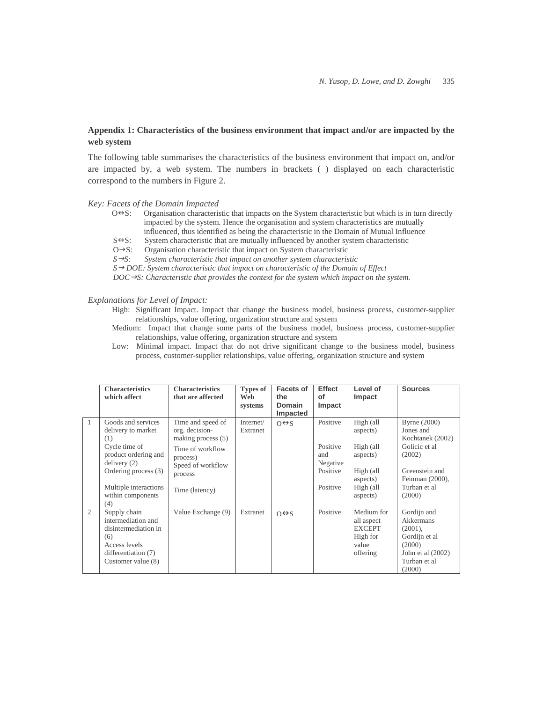# **Appendix 1: Characteristics of the business environment that impact and/or are impacted by the web system**

The following table summarises the characteristics of the business environment that impact on, and/or are impacted by, a web system. The numbers in brackets ( ) displayed on each characteristic correspond to the numbers in Figure 2.

## *Key: Facets of the Domain Impacted*

- $O\Theta S$ : Organisation characteristic that impacts on the System characteristic but which is in turn directly impacted by the system. Hence the organisation and system characteristics are mutually influenced, thus identified as being the characteristic in the Domain of Mutual Influence
- $S \rightarrow S$ : System characteristic that are mutually influenced by another system characteristic

 $O \rightarrow S$ : Organisation characteristic that impact on System characteristic

 $S \rightarrow S$ : *S: System characteristic that impact on another system characteristic* 

*S* → *DOE: System characteristic that impact on characteristic of the Domain of Effect* 

 $DOC \rightarrow S$ : Characteristic that provides the context for the system which impact on the system.

#### *Explanations for Level of Impact:*

- High: Significant Impact. Impact that change the business model, business process, customer-supplier relationships, value offering, organization structure and system
- Medium: Impact that change some parts of the business model, business process, customer-supplier relationships, value offering, organization structure and system
- Low: Minimal impact. Impact that do not drive significant change to the business model, business process, customer-supplier relationships, value offering, organization structure and system

|              | <b>Characteristics</b><br>which affect                                                                                                                                               | <b>Characteristics</b><br>that are affected                                                                                                   | Types of<br>Web<br>systems | Facets of<br>the<br><b>Domain</b><br>Impacted | Effect<br>οf<br>Impact                                          | Level of<br>Impact                                                                               | <b>Sources</b>                                                                                                                          |
|--------------|--------------------------------------------------------------------------------------------------------------------------------------------------------------------------------------|-----------------------------------------------------------------------------------------------------------------------------------------------|----------------------------|-----------------------------------------------|-----------------------------------------------------------------|--------------------------------------------------------------------------------------------------|-----------------------------------------------------------------------------------------------------------------------------------------|
| $\mathbf{1}$ | Goods and services<br>delivery to market<br>(1)<br>Cycle time of<br>product ordering and<br>delivery(2)<br>Ordering process (3)<br>Multiple interactions<br>within components<br>(4) | Time and speed of<br>org. decision-<br>making process $(5)$<br>Time of workflow<br>process)<br>Speed of workflow<br>process<br>Time (latency) | Internet/<br>Extranet      | $O \leftrightarrow S$                         | Positive<br>Positive<br>and<br>Negative<br>Positive<br>Positive | High (all<br>aspects)<br>High (all<br>aspects)<br>High (all<br>aspects)<br>High (all<br>aspects) | Byrne (2000)<br>Jones and<br>Kochtanek (2002)<br>Golicic et al<br>(2002)<br>Greenstein and<br>Feinman (2000),<br>Turban et al<br>(2000) |
| 2            | Supply chain<br>intermediation and<br>disintermediation in<br>(6)<br>Access levels<br>differentiation (7)<br>Customer value (8)                                                      | Value Exchange (9)                                                                                                                            | Extranet                   | $O \leftrightarrow S$                         | Positive                                                        | Medium for<br>all aspect<br><b>EXCEPT</b><br>High for<br>value<br>offering                       | Gordijn and<br>Akkermans<br>$(2001)$ ,<br>Gordijn et al<br>(2000)<br>John et al $(2002)$<br>Turban et al<br>(2000)                      |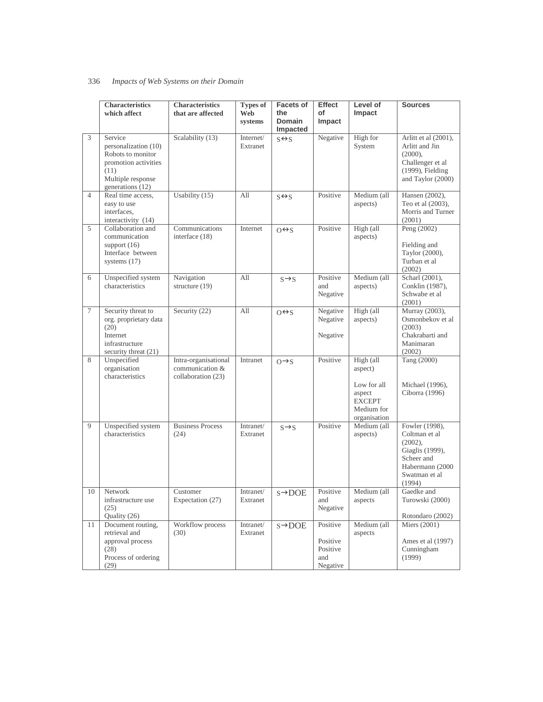|                | <b>Characteristics</b><br>which affect                                                                                        | <b>Characteristics</b><br>that are affected                   | <b>Types of</b><br>Web<br>systems | <b>Facets of</b><br>the<br><b>Domain</b><br>Impacted | <b>Effect</b><br>of<br>Impact                       | Level of<br>Impact                                                                           | <b>Sources</b>                                                                                                               |
|----------------|-------------------------------------------------------------------------------------------------------------------------------|---------------------------------------------------------------|-----------------------------------|------------------------------------------------------|-----------------------------------------------------|----------------------------------------------------------------------------------------------|------------------------------------------------------------------------------------------------------------------------------|
| $\overline{3}$ | Service<br>personalization (10)<br>Robots to monitor<br>promotion activities<br>(11)<br>Multiple response<br>generations (12) | Scalability (13)                                              | Internet/<br>Extranet             | $S \leftrightarrow S$                                | Negative                                            | High for<br>System                                                                           | Arlitt et al (2001),<br>Arlitt and Jin<br>$(2000)$ ,<br>Challenger et al<br>(1999), Fielding<br>and Taylor (2000)            |
| $\overline{4}$ | Real time access.<br>easy to use<br>interfaces,<br>interactivity (14)                                                         | Usability $(15)$                                              | All                               | $S \leftrightarrow S$                                | Positive                                            | Medium (all<br>aspects)                                                                      | Hansen (2002),<br>Teo et al (2003),<br>Morris and Turner<br>(2001)                                                           |
| 5              | Collaboration and<br>communication<br>support $(16)$<br>Interface between<br>systems $(17)$                                   | Communications<br>interface (18)                              | Internet                          | $O \leftrightarrow S$                                | Positive                                            | High (all<br>aspects)                                                                        | Peng (2002)<br>Fielding and<br>Taylor (2000),<br>Turban et al<br>(2002)                                                      |
| 6              | Unspecified system<br>characteristics                                                                                         | Navigation<br>structure (19)                                  | All                               | $S \rightarrow S$                                    | Positive<br>and<br>Negative                         | Medium (all<br>aspects)                                                                      | Scharl (2001),<br>Conklin (1987),<br>Schwabe et al<br>(2001)                                                                 |
| 7              | Security threat to<br>org. proprietary data<br>(20)<br>Internet<br>infrastructure<br>security threat (21)                     | Security (22)                                                 | All                               | $O \leftrightarrow S$                                | Negative<br>Negative<br>Negative                    | High (all<br>aspects)                                                                        | Murray (2003),<br>Osmonbekov et al<br>(2003)<br>Chakrabarti and<br>Manimaran<br>(2002)                                       |
| 8              | Unspecified<br>organisation<br>characteristics                                                                                | Intra-organisational<br>communication &<br>collaboration (23) | Intranet                          | $O \rightarrow S$                                    | Positive                                            | High (all<br>aspect)<br>Low for all<br>aspect<br><b>EXCEPT</b><br>Medium for<br>organisation | Tang (2000)<br>Michael (1996),<br>Ciborra (1996)                                                                             |
| 9              | Unspecified system<br>characteristics                                                                                         | <b>Business Process</b><br>(24)                               | Intranet/<br>Extranet             | $S \rightarrow S$                                    | Positive                                            | Medium (all<br>aspects)                                                                      | Fowler (1998),<br>Coltman et al<br>$(2002)$ ,<br>Giaglis (1999),<br>Scheer and<br>Habermann (2000<br>Swatman et al<br>(1994) |
| 10             | Network<br>infrastructure use<br>(25)<br>Quality (26)                                                                         | Customer<br>Expectation (27)                                  | Intranet/<br>Extranet             | $s \rightarrow$ DOE                                  | Positive<br>and<br>Negative                         | Medium (all<br>aspects                                                                       | Gaedke and<br>Turowski (2000)<br>Rotondaro (2002)                                                                            |
| 11             | Document routing,<br>retrieval and<br>approval process<br>(28)<br>Process of ordering<br>(29)                                 | Workflow process<br>(30)                                      | Intranet/<br>Extranet             | $s \rightarrow$ DOE                                  | Positive<br>Positive<br>Positive<br>and<br>Negative | Medium (all<br>aspects                                                                       | Miers (2001)<br>Ames et al (1997)<br>Cunningham<br>(1999)                                                                    |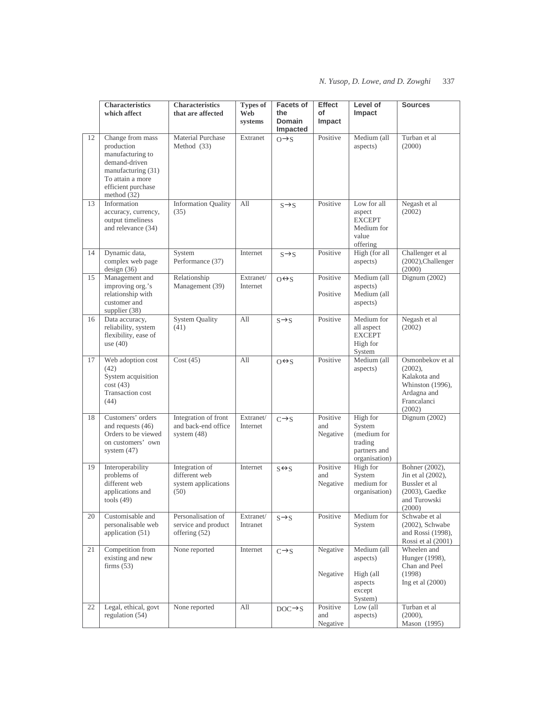|    | <b>Characteristics</b><br>which affect                                                                                                               | Characteristics<br>that are affected                           | <b>Types of</b><br>Web<br>systems | <b>Facets of</b><br>the<br><b>Domain</b><br>Impacted | Effect<br>of<br>Impact      | Level of<br>Impact                                                            | <b>Sources</b>                                                                                             |
|----|------------------------------------------------------------------------------------------------------------------------------------------------------|----------------------------------------------------------------|-----------------------------------|------------------------------------------------------|-----------------------------|-------------------------------------------------------------------------------|------------------------------------------------------------------------------------------------------------|
| 12 | Change from mass<br>production<br>manufacturing to<br>demand-driven<br>manufacturing (31)<br>To attain a more<br>efficient purchase<br>method $(32)$ | Material Purchase<br>Method (33)                               | Extranet                          | $O \rightarrow S$                                    | Positive                    | Medium (all<br>aspects)                                                       | Turban et al<br>(2000)                                                                                     |
| 13 | Information<br>accuracy, currency,<br>output timeliness<br>and relevance (34)                                                                        | <b>Information Quality</b><br>(35)                             | All                               | $S \rightarrow S$                                    | Positive                    | Low for all<br>aspect<br><b>EXCEPT</b><br>Medium for<br>value<br>offering     | Negash et al<br>(2002)                                                                                     |
| 14 | Dynamic data,<br>complex web page<br>design(36)                                                                                                      | System<br>Performance (37)                                     | Internet                          | $S \rightarrow S$                                    | Positive                    | High (for all<br>aspects)                                                     | Challenger et al<br>(2002), Challenger<br>(2000)                                                           |
| 15 | Management and<br>improving org.'s<br>relationship with<br>customer and<br>supplier (38)                                                             | Relationship<br>Management (39)                                | Extranet/<br>Internet             | $O \leftrightarrow S$                                | Positive<br>Positive        | Medium (all<br>aspects)<br>Medium (all<br>aspects)                            | Dignum $(2002)$                                                                                            |
| 16 | Data accuracy,<br>reliability, system<br>flexibility, ease of<br>use $(40)$                                                                          | <b>System Quality</b><br>(41)                                  | All                               | $S \rightarrow S$                                    | Positive                    | Medium for<br>all aspect<br><b>EXCEPT</b><br>High for<br>System               | Negash et al<br>(2002)                                                                                     |
| 17 | Web adoption cost<br>(42)<br>System acquisition<br>cost(43)<br>Transaction cost<br>(44)                                                              | Cost(45)                                                       | All                               | $O \leftrightarrow S$                                | Positive                    | Medium (all<br>aspects)                                                       | Osmonbekov et al<br>$(2002)$ ,<br>Kalakota and<br>Whinston (1996),<br>Ardagna and<br>Francalanci<br>(2002) |
| 18 | Customers' orders<br>and requests (46)<br>Orders to be viewed<br>on customers' own<br>system $(47)$                                                  | Integration of front<br>and back-end office<br>system $(48)$   | Extranet/<br>Internet             | $C \rightarrow S$                                    | Positive<br>and<br>Negative | High for<br>System<br>(medium for<br>trading<br>partners and<br>organisation) | Dignum (2002)                                                                                              |
| 19 | Interoperability<br>problems of<br>different web<br>applications and<br>tools $(49)$                                                                 | Integration of<br>different web<br>system applications<br>(50) | Internet                          | $S \leftrightarrow S$                                | Positive<br>and<br>Negative | High for<br>System<br>medium for<br>organisation)                             | Bohner (2002),<br>Jin et al (2002),<br>Bussler et al<br>$(2003)$ , Gaedke<br>and Turowski<br>(2000)        |
| 20 | Customisable and<br>personalisable web<br>application (51)                                                                                           | Personalisation of<br>service and product<br>offering (52)     | Extranet/<br>Intranet             | $S \rightarrow S$                                    | Positive                    | Medium for<br>System                                                          | Schwabe et al<br>$(2002)$ , Schwabe<br>and Rossi (1998),<br>Rossi et al (2001)                             |
| 21 | Competition from<br>existing and new<br>firms $(53)$                                                                                                 | None reported                                                  | Internet                          | $C \rightarrow S$                                    | Negative<br>Negative        | Medium (all<br>aspects)<br>High (all<br>aspects<br>except<br>System)          | Wheelen and<br>Hunger (1998),<br>Chan and Peel<br>(1998)<br>Ing et al $(2000)$                             |
| 22 | Legal, ethical, govt<br>regulation (54)                                                                                                              | None reported                                                  | All                               | $DOC \rightarrow S$                                  | Positive<br>and<br>Negative | Low (all<br>aspects)                                                          | Turban et al<br>(2000),<br>Mason (1995)                                                                    |